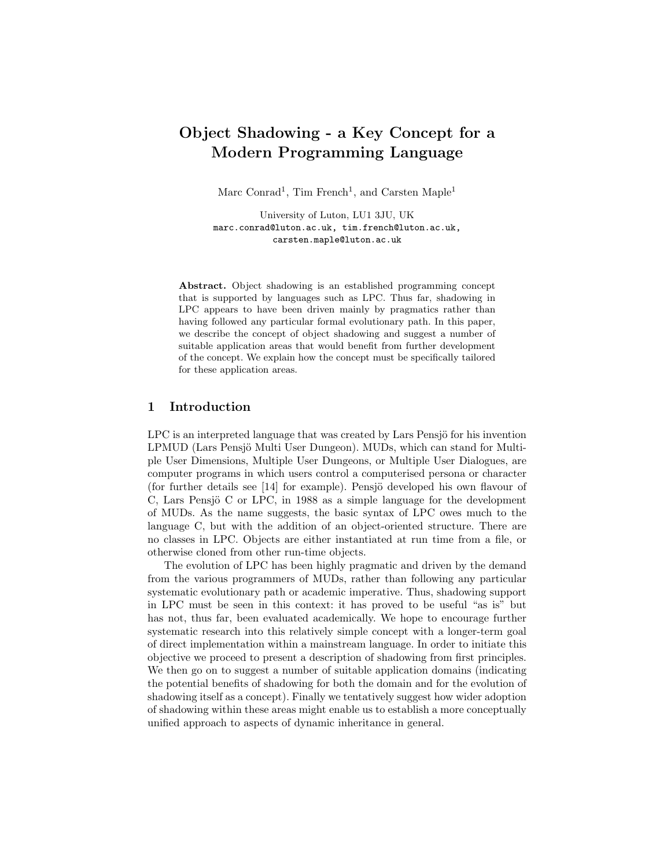# Object Shadowing - a Key Concept for a Modern Programming Language

Marc Conrad<sup>1</sup>, Tim French<sup>1</sup>, and Carsten Maple<sup>1</sup>

University of Luton, LU1 3JU, UK marc.conrad@luton.ac.uk, tim.french@luton.ac.uk, carsten.maple@luton.ac.uk

Abstract. Object shadowing is an established programming concept that is supported by languages such as LPC. Thus far, shadowing in LPC appears to have been driven mainly by pragmatics rather than having followed any particular formal evolutionary path. In this paper, we describe the concept of object shadowing and suggest a number of suitable application areas that would benefit from further development of the concept. We explain how the concept must be specifically tailored for these application areas.

# 1 Introduction

LPC is an interpreted language that was created by Lars Pensjö for his invention LPMUD (Lars Pensjö Multi User Dungeon). MUDs, which can stand for Multiple User Dimensions, Multiple User Dungeons, or Multiple User Dialogues, are computer programs in which users control a computerised persona or character (for further details see [14] for example). Pensjö developed his own flavour of C, Lars Pensjö C or LPC, in 1988 as a simple language for the development of MUDs. As the name suggests, the basic syntax of LPC owes much to the language C, but with the addition of an object-oriented structure. There are no classes in LPC. Objects are either instantiated at run time from a file, or otherwise cloned from other run-time objects.

The evolution of LPC has been highly pragmatic and driven by the demand from the various programmers of MUDs, rather than following any particular systematic evolutionary path or academic imperative. Thus, shadowing support in LPC must be seen in this context: it has proved to be useful "as is" but has not, thus far, been evaluated academically. We hope to encourage further systematic research into this relatively simple concept with a longer-term goal of direct implementation within a mainstream language. In order to initiate this objective we proceed to present a description of shadowing from first principles. We then go on to suggest a number of suitable application domains (indicating the potential benefits of shadowing for both the domain and for the evolution of shadowing itself as a concept). Finally we tentatively suggest how wider adoption of shadowing within these areas might enable us to establish a more conceptually unified approach to aspects of dynamic inheritance in general.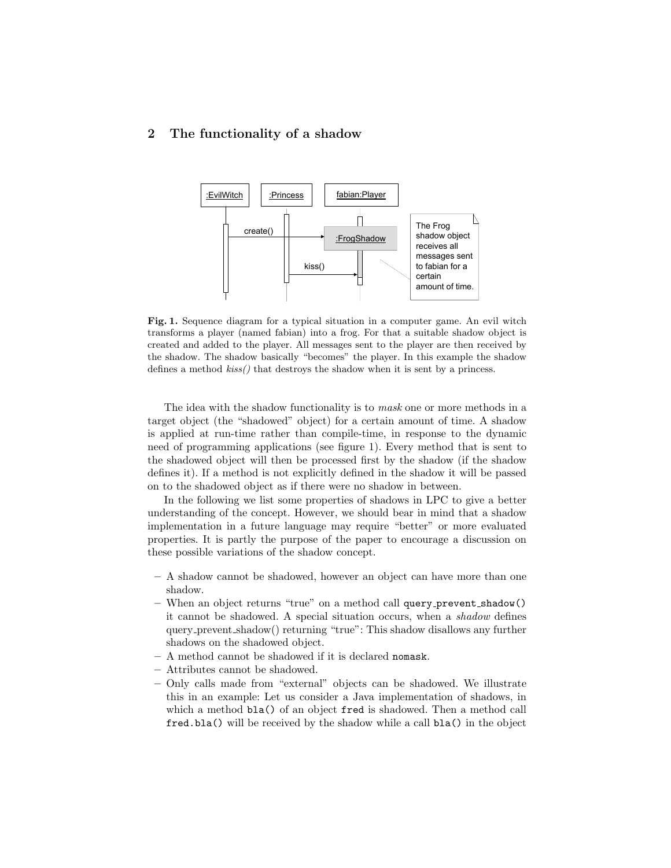# 2 The functionality of a shadow



Fig. 1. Sequence diagram for a typical situation in a computer game. An evil witch transforms a player (named fabian) into a frog. For that a suitable shadow object is created and added to the player. All messages sent to the player are then received by the shadow. The shadow basically "becomes" the player. In this example the shadow defines a method  $kiss()$  that destroys the shadow when it is sent by a princess.

The idea with the shadow functionality is to *mask* one or more methods in a target object (the "shadowed" object) for a certain amount of time. A shadow is applied at run-time rather than compile-time, in response to the dynamic need of programming applications (see figure 1). Every method that is sent to the shadowed object will then be processed first by the shadow (if the shadow defines it). If a method is not explicitly defined in the shadow it will be passed on to the shadowed object as if there were no shadow in between.

In the following we list some properties of shadows in LPC to give a better understanding of the concept. However, we should bear in mind that a shadow implementation in a future language may require "better" or more evaluated properties. It is partly the purpose of the paper to encourage a discussion on these possible variations of the shadow concept.

- A shadow cannot be shadowed, however an object can have more than one shadow.
- When an object returns "true" on a method call query prevent shadow() it cannot be shadowed. A special situation occurs, when a shadow defines query prevent shadow() returning "true": This shadow disallows any further shadows on the shadowed object.
- A method cannot be shadowed if it is declared nomask.
- Attributes cannot be shadowed.
- Only calls made from "external" objects can be shadowed. We illustrate this in an example: Let us consider a Java implementation of shadows, in which a method bla() of an object fred is shadowed. Then a method call fred.bla() will be received by the shadow while a call bla() in the object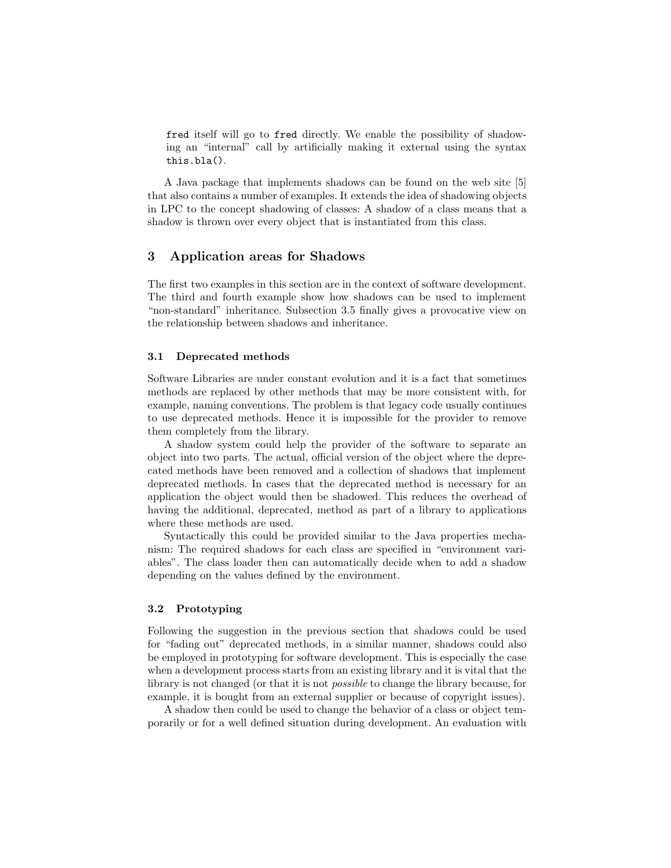fred itself will go to fred directly. We enable the possibility of shadowing an "internal" call by artificially making it external using the syntax this.bla().

A Java package that implements shadows can be found on the web site [5] that also contains a number of examples. It extends the idea of shadowing objects in LPC to the concept shadowing of classes: A shadow of a class means that a shadow is thrown over every object that is instantiated from this class.

# 3 Application areas for Shadows

The first two examples in this section are in the context of software development. The third and fourth example show how shadows can be used to implement "non-standard" inheritance. Subsection 3.5 finally gives a provocative view on the relationship between shadows and inheritance.

#### 3.1 Deprecated methods

Software Libraries are under constant evolution and it is a fact that sometimes methods are replaced by other methods that may be more consistent with, for example, naming conventions. The problem is that legacy code usually continues to use deprecated methods. Hence it is impossible for the provider to remove them completely from the library.

A shadow system could help the provider of the software to separate an object into two parts. The actual, official version of the object where the deprecated methods have been removed and a collection of shadows that implement deprecated methods. In cases that the deprecated method is necessary for an application the object would then be shadowed. This reduces the overhead of having the additional, deprecated, method as part of a library to applications where these methods are used.

Syntactically this could be provided similar to the Java properties mechanism: The required shadows for each class are specified in "environment variables". The class loader then can automatically decide when to add a shadow depending on the values defined by the environment.

## 3.2 Prototyping

Following the suggestion in the previous section that shadows could be used for "fading out" deprecated methods, in a similar manner, shadows could also be employed in prototyping for software development. This is especially the case when a development process starts from an existing library and it is vital that the library is not changed (or that it is not possible to change the library because, for example, it is bought from an external supplier or because of copyright issues).

A shadow then could be used to change the behavior of a class or object temporarily or for a well defined situation during development. An evaluation with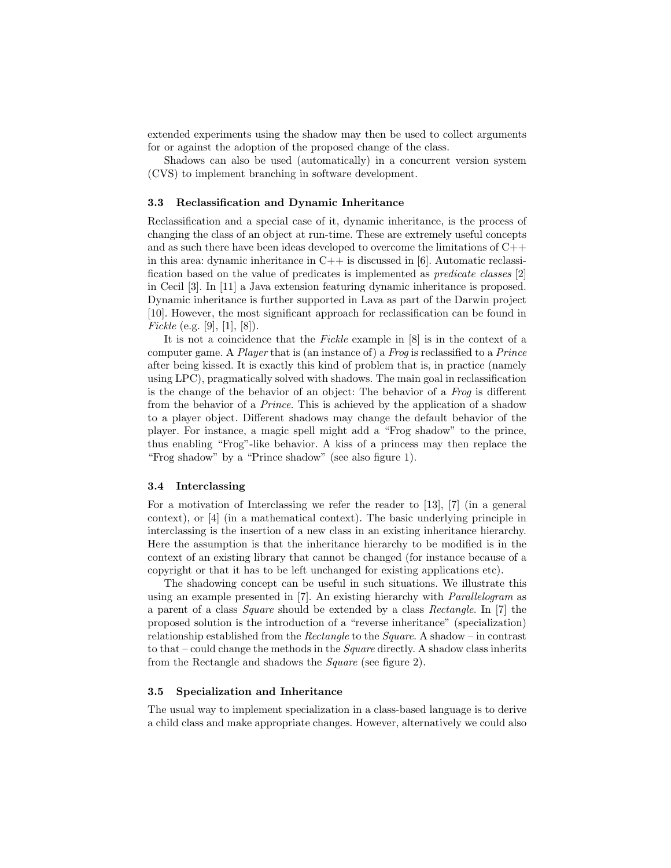extended experiments using the shadow may then be used to collect arguments for or against the adoption of the proposed change of the class.

Shadows can also be used (automatically) in a concurrent version system (CVS) to implement branching in software development.

#### 3.3 Reclassification and Dynamic Inheritance

Reclassification and a special case of it, dynamic inheritance, is the process of changing the class of an object at run-time. These are extremely useful concepts and as such there have been ideas developed to overcome the limitations of C++ in this area: dynamic inheritance in  $C++$  is discussed in [6]. Automatic reclassification based on the value of predicates is implemented as predicate classes [2] in Cecil [3]. In [11] a Java extension featuring dynamic inheritance is proposed. Dynamic inheritance is further supported in Lava as part of the Darwin project [10]. However, the most significant approach for reclassification can be found in *Fickle* (e.g. [9], [1], [8]).

It is not a coincidence that the Fickle example in [8] is in the context of a computer game. A Player that is (an instance of) a Frog is reclassified to a Prince after being kissed. It is exactly this kind of problem that is, in practice (namely using LPC), pragmatically solved with shadows. The main goal in reclassification is the change of the behavior of an object: The behavior of a Frog is different from the behavior of a Prince. This is achieved by the application of a shadow to a player object. Different shadows may change the default behavior of the player. For instance, a magic spell might add a "Frog shadow" to the prince, thus enabling "Frog"-like behavior. A kiss of a princess may then replace the "Frog shadow" by a "Prince shadow" (see also figure 1).

#### 3.4 Interclassing

For a motivation of Interclassing we refer the reader to [13], [7] (in a general context), or [4] (in a mathematical context). The basic underlying principle in interclassing is the insertion of a new class in an existing inheritance hierarchy. Here the assumption is that the inheritance hierarchy to be modified is in the context of an existing library that cannot be changed (for instance because of a copyright or that it has to be left unchanged for existing applications etc).

The shadowing concept can be useful in such situations. We illustrate this using an example presented in [7]. An existing hierarchy with Parallelogram as a parent of a class Square should be extended by a class Rectangle. In [7] the proposed solution is the introduction of a "reverse inheritance" (specialization) relationship established from the Rectangle to the Square. A shadow – in contrast to that – could change the methods in the Square directly. A shadow class inherits from the Rectangle and shadows the Square (see figure 2).

#### 3.5 Specialization and Inheritance

The usual way to implement specialization in a class-based language is to derive a child class and make appropriate changes. However, alternatively we could also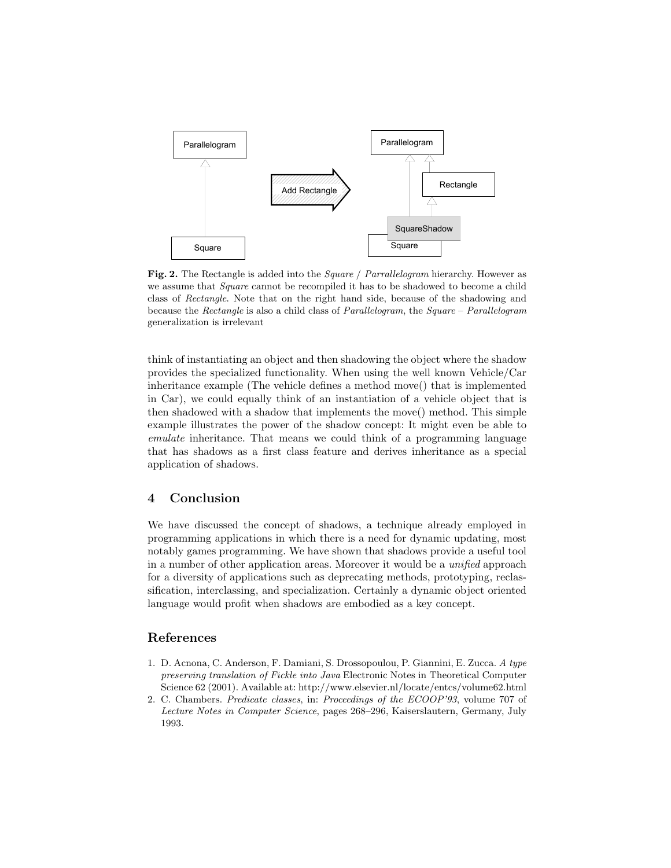

Fig. 2. The Rectangle is added into the *Square / Parrallelogram* hierarchy. However as we assume that *Square* cannot be recompiled it has to be shadowed to become a child class of Rectangle. Note that on the right hand side, because of the shadowing and because the Rectangle is also a child class of Parallelogram, the Square – Parallelogram generalization is irrelevant

think of instantiating an object and then shadowing the object where the shadow provides the specialized functionality. When using the well known Vehicle/Car inheritance example (The vehicle defines a method move() that is implemented in Car), we could equally think of an instantiation of a vehicle object that is then shadowed with a shadow that implements the move() method. This simple example illustrates the power of the shadow concept: It might even be able to emulate inheritance. That means we could think of a programming language that has shadows as a first class feature and derives inheritance as a special application of shadows.

# 4 Conclusion

We have discussed the concept of shadows, a technique already employed in programming applications in which there is a need for dynamic updating, most notably games programming. We have shown that shadows provide a useful tool in a number of other application areas. Moreover it would be a unified approach for a diversity of applications such as deprecating methods, prototyping, reclassification, interclassing, and specialization. Certainly a dynamic object oriented language would profit when shadows are embodied as a key concept.

## References

- 1. D. Acnona, C. Anderson, F. Damiani, S. Drossopoulou, P. Giannini, E. Zucca. A type preserving translation of Fickle into Java Electronic Notes in Theoretical Computer Science 62 (2001). Available at: http://www.elsevier.nl/locate/entcs/volume62.html
- 2. C. Chambers. Predicate classes, in: Proceedings of the ECOOP'93, volume 707 of Lecture Notes in Computer Science, pages 268–296, Kaiserslautern, Germany, July 1993.